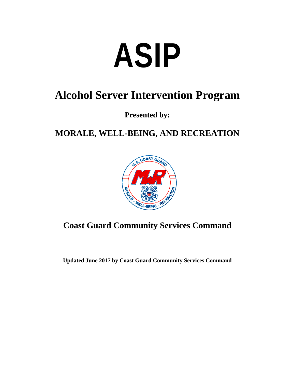# **ASIP**

## **Alcohol Server Intervention Program**

### **Presented by:**

## **MORALE, WELL-BEING, AND RECREATION**



## **Coast Guard Community Services Command**

**Updated June 2017 by Coast Guard Community Services Command**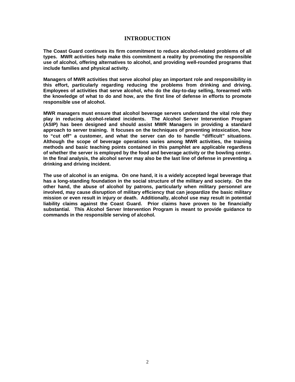#### **INTRODUCTION**

**The Coast Guard continues its firm commitment to reduce alcohol-related problems of all types. MWR activities help make this commitment a reality by promoting the responsible use of alcohol, offering alternatives to alcohol, and providing well-rounded programs that include families and physical activity.**

**Managers of MWR activities that serve alcohol play an important role and responsibility in this effort, particularly regarding reducing the problems from drinking and driving. Employees of activities that serve alcohol, who do the day-to-day selling, forearmed with the knowledge of what to do and how, are the first line of defense in efforts to promote responsible use of alcohol.**

**MWR managers must ensure that alcohol beverage servers understand the vital role they play in reducing alcohol-related incidents. The Alcohol Server Intervention Program (ASIP) has been designed and should assist MWR Managers in providing a standard approach to server training. It focuses on the techniques of preventing intoxication, how to "cut off" a customer, and what the server can do to handle "difficult" situations. Although the scope of beverage operations varies among MWR activities, the training methods and basic teaching points contained in this pamphlet are applicable regardless of whether the server is employed by the food and beverage activity or the bowling center. In the final analysis, the alcohol server may also be the last line of defense in preventing a drinking and driving incident.**

**The use of alcohol is an enigma. On one hand, it is a widely accepted legal beverage that has a long-standing foundation in the social structure of the military and society. On the other hand, the abuse of alcohol by patrons, particularly when military personnel are involved, may cause disruption of military efficiency that can jeopardize the basic military mission or even result in injury or death. Additionally, alcohol use may result in potential liability claims against the Coast Guard. Prior claims have proven to be financially substantial. This Alcohol Server Intervention Program is meant to provide guidance to commands in the responsible serving of alcohol.**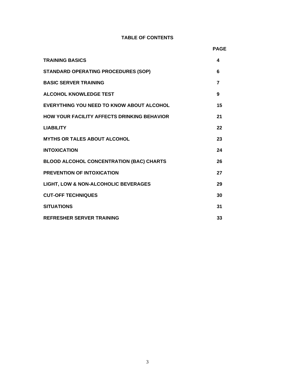#### **TABLE OF CONTENTS**

|                                                    | <b>PAGE</b>    |
|----------------------------------------------------|----------------|
| <b>TRAINING BASICS</b>                             | 4              |
| <b>STANDARD OPERATING PROCEDURES (SOP)</b>         | 6              |
| <b>BASIC SERVER TRAINING</b>                       | $\overline{7}$ |
| <b>ALCOHOL KNOWLEDGE TEST</b>                      | 9              |
| EVERYTHING YOU NEED TO KNOW ABOUT ALCOHOL          | 15             |
| <b>HOW YOUR FACILITY AFFECTS DRINKING BEHAVIOR</b> | 21             |
| <b>LIABILITY</b>                                   | 22             |
| <b>MYTHS OR TALES ABOUT ALCOHOL</b>                | 23             |
| <b>INTOXICATION</b>                                | 24             |
| <b>BLOOD ALCOHOL CONCENTRATION (BAC) CHARTS</b>    | 26             |
| <b>PREVENTION OF INTOXICATION</b>                  | 27             |
| LIGHT, LOW & NON-ALCOHOLIC BEVERAGES               | 29             |
| <b>CUT-OFF TECHNIQUES</b>                          | 30             |
| <b>SITUATIONS</b>                                  | 31             |
| <b>REFRESHER SERVER TRAINING</b>                   | 33             |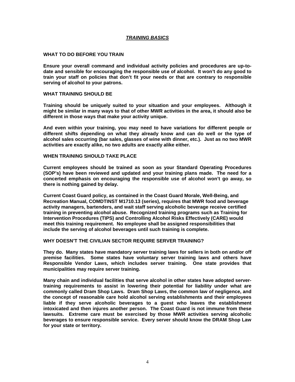#### *TRAINING BASICS*

#### **WHAT TO DO BEFORE YOU TRAIN**

**Ensure your overall command and individual activity policies and procedures are up-todate and sensible for encouraging the responsible use of alcohol. It won't do any good to train your staff on policies that don't fit your needs or that are contrary to responsible serving of alcohol to your patrons.**

#### **WHAT TRAINING SHOULD BE**

**Training should be uniquely suited to your situation and your employees. Although it might be similar in many ways to that of other MWR activities in the area, it should also be different in those ways that make your activity unique.**

**And even within your training, you may need to have variations for different people or different shifts depending on what they already know and can do well or the type of alcohol sales occurring (bar sales, glasses of wine with dinner, etc.). Just as no two MWR activities are exactly alike, no two adults are exactly alike either.** 

#### **WHEN TRAINING SHOULD TAKE PLACE**

**Current employees should be trained as soon as your Standard Operating Procedures (SOP's) have been reviewed and updated and your training plans made. The need for a concerted emphasis on encouraging the responsible use of alcohol won't go away, so there is nothing gained by delay.**

**Current Coast Guard policy, as contained in the Coast Guard Morale, Well-Being, and Recreation Manual, COMDTINST M1710.13 (series), requires that MWR food and beverage activity managers, bartenders, and wait staff serving alcoholic beverage receive certified training in preventing alcohol abuse. Recognized training programs such as Training for Intervention Procedures (TIPS) and Controlling Alcohol Risks Effectively (CARE) would meet this training requirement. No employee shall be assigned responsibilities that include the serving of alcohol beverages until such training is complete.**

#### **WHY DOESN'T THE CIVILIAN SECTOR REQUIRE SERVER TRAINING?**

**They do. Many states have mandatory server training laws for sellers in both on and/or off premise facilities. Some states have voluntary server training laws and others have Responsible Vendor Laws, which includes server training. One state provides that municipalities may require server training.**

**Many chain and individual facilities that serve alcohol in other states have adopted servertraining requirements to assist in lowering their potential for liability under what are commonly called Dram Shop Laws. Dram Shop Laws, the common law of negligence, and the concept of reasonable care hold alcohol serving establishments and their employees liable if they serve alcoholic beverages to a guest who leaves the establishment intoxicated and then injures another person. The Coast Guard is not immune from these lawsuits. Extreme care must be exercised by those MWR activities serving alcoholic beverages to ensure responsible service. Every server should know the DRAM Shop Law for your state or territory.**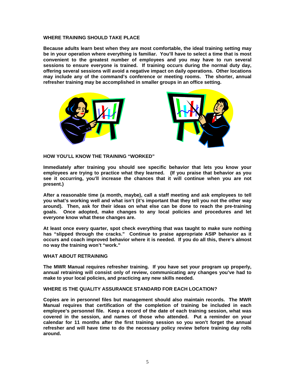#### **WHERE TRAINING SHOULD TAKE PLACE**

**Because adults learn best when they are most comfortable, the ideal training setting may be in your operation where everything is familiar. You'll have to select a time that is most convenient to the greatest number of employees and you may have to run several sessions to ensure everyone is trained. If training occurs during the normal duty day, offering several sessions will avoid a negative impact on daily operations. Other locations may include any of the command's conference or meeting rooms. The shorter, annual refresher training may be accomplished in smaller groups in an office setting.**





#### **HOW YOU'LL KNOW THE TRAINING "WORKED"**

**Immediately after training you should see specific behavior that lets you know your employees are trying to practice what they learned. (If you praise that behavior as you see it occurring, you'll increase the chances that it will continue when you are not present.)**

**After a reasonable time (a month, maybe), call a staff meeting and ask employees to tell you what's working well and what isn't (it's important that they tell you not the other way around). Then, ask for their ideas on what else can be done to reach the pre-training goals. Once adopted, make changes to any local policies and procedures and let everyone know what these changes are.**

**At least once every quarter, spot check everything that was taught to make sure nothing has "slipped through the cracks." Continue to praise appropriate ASIP behavior as it occurs and coach improved behavior where it is needed. If you do all this, there's almost no way the training won't "work."**

#### **WHAT ABOUT RETRAINING**

**The MWR Manual requires refresher training. If you have set your program up properly, annual retraining will consist only of review, communicating any changes you've had to make to your local policies, and practicing any new skills needed.**

#### **WHERE IS THE QUALITY ASSURANCE STANDARD FOR EACH LOCATION?**

**Copies are in personnel files but management should also maintain records. The MWR Manual requires that certification of the completion of training be included in each employee's personnel file. Keep a record of the date of each training session, what was covered in the session, and names of those who attended. Put a reminder on your calendar for 11 months after the first training session so you won't forget the annual refresher and will have time to do the necessary policy review before training day rolls around.**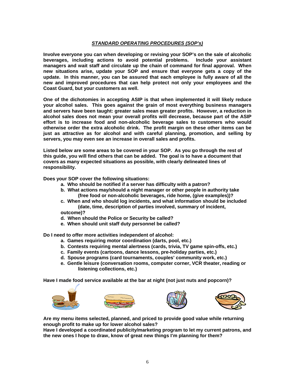#### *STANDARD OPERATING PROCEDURES (SOP's)*

**Involve everyone you can when developing or revising your SOP's on the sale of alcoholic beverages, including actions to avoid potential problems. Include your assistant managers and wait staff and circulate up the chain of command for final approval. When new situations arise, update your SOP and ensure that everyone gets a copy of the update. In this manner, you can be assured that each employee is fully aware of all the new and improved procedures that can help protect not only your employees and the Coast Guard, but your customers as well.**

**One of the dichotomies in accepting ASIP is that when implemented it will likely reduce your alcohol sales. This goes against the grain of most everything business managers and servers have been taught: greater sales mean greater profits. However, a reduction in alcohol sales does not mean your overall profits will decrease, because part of the ASIP effort is to increase food and non-alcoholic beverage sales to customers who would otherwise order the extra alcoholic drink. The profit margin on these other items can be just as attractive as for alcohol and with careful planning, promotion, and selling by servers, you may even see an increase in overall sales and profits.** 

**Listed below are some areas to be covered in your SOP. As you go through the rest of this guide, you will find others that can be added. The goal is to have a document that covers as many expected situations as possible, with clearly delineated lines of responsibility.** 

**Does your SOP cover the following situations:**

- **a. Who should be notified if a server has difficulty with a patron?**
- **b. What actions may/should a night manager or other people in authority take (free food or non-alcoholic beverages, ride home, (give examples))?**
- **c. When and who should log incidents, and what information should be included (date, time, description of parties involved, summary of incident,**

**outcome)?**

- **d. When should the Police or Security be called?**
- **e. When should unit staff duty personnel be called?**

**Do I need to offer more activities independent of alcohol:**

- **a. Games requiring motor coordination (darts, pool, etc.)**
- **b. Contests requiring mental alertness (cards, trivia, TV game spin-offs, etc.)**
- **c. Family events (cartoons, dance lessons, pre-holiday parties, etc.)**
- **d. Spouse programs (card tournaments, couples' community work, etc.)**
- **e. Gentle leisure (conversation rooms, computer corner, VCR theater, reading or listening collections, etc.)**

**Have I made food service available at the bar at night (not just nuts and popcorn)?**









**Are my menu items selected, planned, and priced to provide good value while returning enough profit to make up for lower alcohol sales?**

**Have I developed a coordinated publicity/marketing program to let my current patrons, and the new ones I hope to draw, know of great new things I'm planning for them?**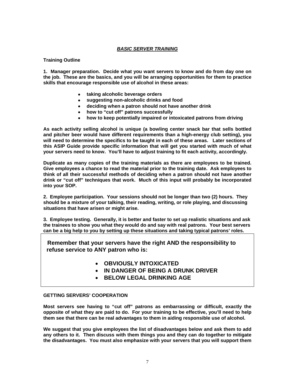#### *BASIC SERVER TRAINING*

#### **Training Outline**

**1. Manager preparation. Decide what you want servers to know and do from day one on the job. These are the basics, and you will be arranging opportunities for them to practice skills that encourage responsible use of alcohol in these areas:**

- **taking alcoholic beverage orders**
- **suggesting non-alcoholic drinks and food**
- **deciding when a patron should not have another drink**
- **how to "cut off" patrons successfully**
- **how to keep potentially impaired or intoxicated patrons from driving**

**As each activity selling alcohol is unique (a bowling center snack bar that sells bottled and pitcher beer would have different requirements than a high-energy club setting), you will need to determine the specifics to be taught in each of these areas. Later sections of this ASIP Guide provide specific information that will get you started with much of what your servers need to know. You'll have to adjust training to fit each activity, accordingly.** 

**Duplicate as many copies of the training materials as there are employees to be trained. Give employees a chance to read the material prior to the training date. Ask employees to think of all their successful methods of deciding when a patron should not have another drink or "cut off" techniques that work. Much of this input will probably be incorporated into your SOP.**

**2. Employee participation. Your sessions should not be longer than two (2) hours. They should be a mixture of your talking, their reading, writing, or role playing, and discussing situations that have arisen or might arise.**

**3. Employee testing. Generally, it is better and faster to set up realistic situations and ask the trainees to show you what they would do and say with real patrons. Your best servers can be a big help to you by setting up these situations and taking typical patrons' roles.**

 **Remember that your servers have the right AND the responsibility to refuse service to ANY patron who is:**

- **OBVIOUSLY INTOXICATED**
- **IN DANGER OF BEING A DRUNK DRIVER**
- **BELOW LEGAL DRINKING AGE**

#### **GETTING SERVERS' COOPERATION**

**Most servers see having to "cut off" patrons as embarrassing or difficult, exactly the opposite of what they are paid to do. For your training to be effective, you'll need to help them see that there can be real advantages to them in aiding responsible use of alcohol.**

**We suggest that you give employees the list of disadvantages below and ask them to add any others to it. Then discuss with them things you and they can do together to mitigate the disadvantages. You must also emphasize with your servers that you will support them**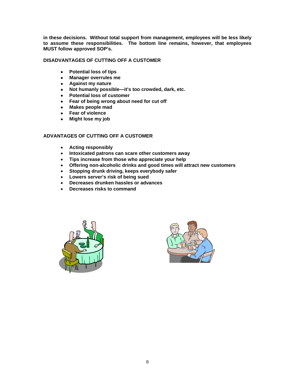**in these decisions. Without total support from management, employees will be less likely to assume these responsibilities. The bottom line remains, however, that employees MUST follow approved SOP's.**

#### **DISADVANTAGES OF CUTTING OFF A CUSTOMER**

- **Potential loss of tips**
- **Manager overrules me**
- **Against my nature**
- **Not humanly possible—it's too crowded, dark, etc.**
- **Potential loss of customer**
- **Fear of being wrong about need for cut off**
- **Makes people mad**
- **Fear of violence**
- **Might lose my job**

#### **ADVANTAGES OF CUTTING OFF A CUSTOMER**

- **Acting responsibly**
- **Intoxicated patrons can scare other customers away**
- **Tips increase from those who appreciate your help**
- **Offering non-alcoholic drinks and good times will attract new customers**
- **Stopping drunk driving, keeps everybody safer**
- **Lowers server's risk of being sued**
- **Decreases drunken hassles or advances**
- **Decreases risks to command**



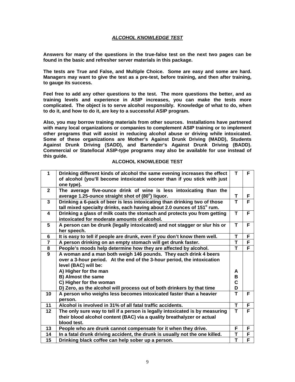#### *ALCOHOL KNOWLEDGE TEST*

**Answers for many of the questions in the true-false test on the next two pages can be found in the basic and refresher server materials in this package.** 

**The tests are True and False, and Multiple Choice. Some are easy and some are hard. Managers may want to give the test as a pre-test, before training, and then after training, to gauge its success.**

**Feel free to add any other questions to the test. The more questions the better, and as training levels and experience in ASIP increases, you can make the tests more complicated. The object is to serve alcohol responsibly. Knowledge of what to do, when to do it, and how to do it, are key to a successful ASIP program.**

**Also, you may borrow training materials from other sources. Installations have partnered with many local organizations or companies to complement ASIP training or to implement other programs that will assist in reducing alcohol abuse or driving while intoxicated. Some of these organizations are Mother's Against Drunk Driving (MADD), Students Against Drunk Driving (SADD), and Bartender's Against Drunk Driving (BADD). Commercial or State/local ASIP-type programs may also be available for use instead of this guide.** 

#### **ALCOHOL KNOWLEDGE TEST**

| 1              | Drinking different kinds of alcohol the same evening increases the effect    | т | F              |
|----------------|------------------------------------------------------------------------------|---|----------------|
|                | of alcohol (you'll become intoxicated sooner than if you stick with just     |   |                |
|                | one type).                                                                   |   |                |
| $\mathbf{2}$   | The average five-ounce drink of wine is less intoxicating than the           |   |                |
|                | average 1.25-ounce straight shot of (80°) liquor.                            | т | F              |
| $\mathbf{3}$   | Drinking a 6-pack of beer is less intoxicating than drinking two of those    | T | $\overline{F}$ |
|                | tall mixed specialty drinks, each having about 2.0 ounces of 151° rum.       |   |                |
| 4              | Drinking a glass of milk coats the stomach and protects you from getting     | T | F              |
|                | intoxicated for moderate amounts of alcohol.                                 |   |                |
| 5              | A person can be drunk (legally intoxicated) and not stagger or slur his or   | T | F              |
|                | her speech.                                                                  |   |                |
| 6              | It is easy to tell if people are drunk, even if you don't know them well.    | T | F              |
| $\overline{7}$ | A person drinking on an empty stomach will get drunk faster.                 | T | F              |
| 8              | People's moods help determine how they are affected by alcohol.              | T | F              |
| 9              | A woman and a man both weigh 146 pounds. They each drink 4 beers             |   |                |
|                | over a 3-hour period. At the end of the 3-hour period, the intoxication      |   |                |
|                | level (BAC) will be:                                                         |   |                |
|                | A) Higher for the man                                                        | A |                |
|                | <b>B) Almost the same</b>                                                    | в |                |
|                | C) Higher for the woman                                                      | C |                |
|                | D) Zero, as the alcohol will process out of both drinkers by that time       | D |                |
| 10             | A person who weighs less becomes intoxicated faster than a heavier           | T | F              |
|                | person.                                                                      |   |                |
| 11             | Alcohol is involved in 31% of all fatal traffic accidents.                   | T | F.             |
| 12             | The only sure way to tell if a person is legally intoxicated is by measuring | T | F              |
|                | their blood alcohol content (BAC) via a quality breathalyzer or actual       |   |                |
|                | blood test.                                                                  |   |                |
| 13             | People who are drunk cannot compensate for it when they drive.               | F | F              |
| 14             | In a fatal drunk driving accident, the drunk is usually not the one killed.  | T | F              |
| 15             | Drinking black coffee can help sober up a person.                            | T | F              |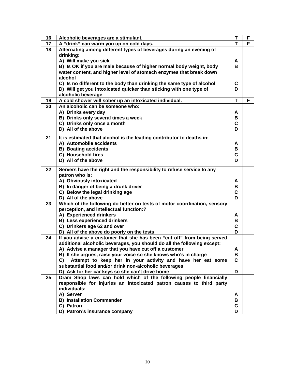| 16 | Alcoholic beverages are a stimulant.                                                                                | Τ      | F |
|----|---------------------------------------------------------------------------------------------------------------------|--------|---|
| 17 | A "drink" can warm you up on cold days.                                                                             | т      | F |
| 18 | Alternating among different types of beverages during an evening of                                                 |        |   |
|    | drinking:                                                                                                           |        |   |
|    | A) Will make you sick                                                                                               | A      |   |
|    | B) Is OK if you are male because of higher normal body weight, body                                                 | в      |   |
|    | water content, and higher level of stomach enzymes that break down                                                  |        |   |
|    | alcohol                                                                                                             |        |   |
|    | C) Is no different to the body than drinking the same type of alcohol                                               | C      |   |
|    | D) Will get you intoxicated quicker than sticking with one type of                                                  | D      |   |
|    | alcoholic beverage                                                                                                  |        |   |
| 19 | A cold shower will sober up an intoxicated individual.                                                              | т      | F |
| 20 | An alcoholic can be someone who:                                                                                    |        |   |
|    | A) Drinks every day                                                                                                 | A      |   |
|    | B) Drinks only several times a week                                                                                 | В      |   |
|    | C) Drinks only once a month                                                                                         | C      |   |
|    | D) All of the above                                                                                                 | D      |   |
| 21 | It is estimated that alcohol is the leading contributor to deaths in:                                               |        |   |
|    | A) Automobile accidents                                                                                             | A      |   |
|    | <b>B) Boating accidents</b>                                                                                         | В      |   |
|    | C) Household fires                                                                                                  | C      |   |
|    | D) All of the above                                                                                                 | D      |   |
|    |                                                                                                                     |        |   |
| 22 | Servers have the right and the responsibility to refuse service to any                                              |        |   |
|    | patron who is:                                                                                                      |        |   |
|    | A) Obviously intoxicated                                                                                            | A      |   |
|    | B) In danger of being a drunk driver                                                                                | в      |   |
|    | C) Below the legal drinking age                                                                                     | C<br>D |   |
| 23 | D) All of the above                                                                                                 |        |   |
|    | Which of the following do better on tests of motor coordination, sensory<br>perception, and intellectual function:? |        |   |
|    | A) Experienced drinkers                                                                                             | A      |   |
|    | <b>B)</b> Less experienced drinkers                                                                                 | В      |   |
|    | C) Drinkers age 62 and over                                                                                         | C      |   |
|    | D) All of the above do poorly on the tests                                                                          | D      |   |
| 24 | If you advise a customer that she has been "cut off" from being served                                              |        |   |
|    | additional alcoholic beverages, you should do all the following except:                                             |        |   |
|    | A) Advise a manager that you have cut off a customer                                                                | A      |   |
|    | B) If she argues, raise your voice so she knows who's in charge                                                     | В      |   |
|    | Attempt to keep her in your activity and have her eat some<br>C)                                                    | C      |   |
|    | substantial food and/or drink non-alcoholic beverages                                                               |        |   |
|    | D) Ask for her car keys so she can't drive home                                                                     | D      |   |
| 25 | Dram Shop laws can hold which of the following people financially                                                   |        |   |
|    | responsible for injuries an intoxicated patron causes to third party                                                |        |   |
|    | individuals:                                                                                                        |        |   |
|    | A) Server                                                                                                           | A      |   |
|    | <b>B) Installation Commander</b>                                                                                    | В      |   |
|    | C) Patron                                                                                                           | C      |   |
|    | D) Patron's insurance company                                                                                       | D      |   |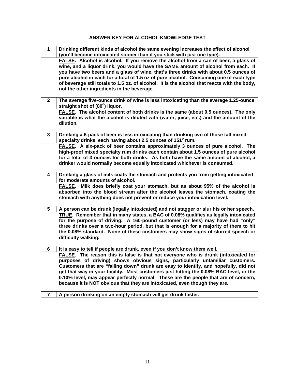#### **ANSWER KEY FOR ALCOHOL KNOWLEDGE TEST**

| 1               | Drinking different kinds of alcohol the same evening increases the effect of alcohol         |
|-----------------|----------------------------------------------------------------------------------------------|
|                 | (you'll become intoxicated sooner than if you stick with just one type).                     |
|                 | FALSE. Alcohol is alcohol. If you remove the alcohol from a can of beer, a glass of          |
|                 | wine, and a liquor drink, you would have the SAME amount of alcohol from each. If            |
|                 | you have two beers and a glass of wine, that's three drinks with about 0.5 ounces of         |
|                 | pure alcohol in each for a total of 1.5 oz of pure alcohol. Consuming one of each type       |
|                 | of beverage still totals to 1.5 oz. of alcohol. It is the alcohol that reacts with the body, |
|                 | not the other ingredients in the beverage.                                                   |
|                 |                                                                                              |
| $\mathbf{2}$    | The average five-ounce drink of wine is less intoxicating than the average 1.25-ounce        |
|                 | straight shot of (80°) liquor.                                                               |
|                 | FALSE. The alcohol content of both drinks is the same (about 0.5 ounces). The only           |
|                 | variable is what the alcohol is diluted with (water, juice, etc.) and the amount of the      |
|                 | dilution.                                                                                    |
|                 |                                                                                              |
| 3               | Drinking a 6-pack of beer is less intoxicating than drinking two of those tall mixed         |
|                 | specialty drinks, each having about 2.5 ounces of 151° rum.                                  |
|                 |                                                                                              |
|                 | FALSE. A six-pack of beer contains approximately 3 ounces of pure alcohol. The               |
|                 | high-proof mixed specialty rum drinks each contain about 1.5 ounces of pure alcohol          |
|                 | for a total of 3 ounces for both drinks. As both have the same amount of alcohol, a          |
|                 | drinker would normally become equally intoxicated whichever is consumed.                     |
|                 |                                                                                              |
| 4               | Drinking a glass of milk coats the stomach and protects you from getting intoxicated         |
|                 | for moderate amounts of alcohol.                                                             |
|                 | FALSE. Milk does briefly coat your stomach, but as about 95% of the alcohol is               |
|                 | absorbed into the blood stream after the alcohol leaves the stomach, coating the             |
|                 | stomach with anything does not prevent or reduce your intoxication level.                    |
|                 |                                                                                              |
| $5\phantom{.0}$ | A person can be drunk (legally intoxicated) and not stagger or slur his or her speech.       |
|                 | TRUE. Remember that in many states, a BAC of 0.08% qualifies as legally intoxicated          |
|                 | for the purpose of driving. A 160-pound customer (or less) may have had "only"               |
|                 | three drinks over a two-hour period, but that is enough for a majority of them to hit        |
|                 | the 0.08% standard. None of these customers may show signs of slurred speech or              |
|                 | difficulty walking.                                                                          |
|                 |                                                                                              |
| 6               | It is easy to tell if people are drunk, even if you don't know them well.                    |
|                 | FALSE. The reason this is false is that not everyone who is drunk (intoxicated for           |
|                 | purposes of driving) shows obvious signs, particularly unfamiliar customers.                 |
|                 | Customers that are "falling down" drunk are easy to identify, and hopefully, did not         |
|                 | get that way in your facility. Most customers just hitting the 0.08% BAC level, or the       |
|                 | 0.10% level, may appear perfectly normal. These are the people that are of concern,          |
|                 | because it is NOT obvious that they are intoxicated, even though they are.                   |
|                 |                                                                                              |
| 7               | A person drinking on an empty stomach will get drunk faster.                                 |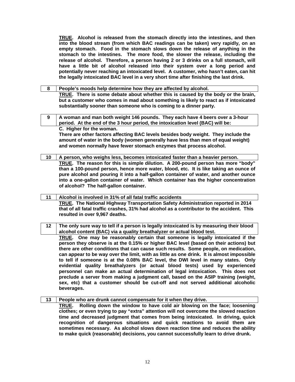**TRUE. Alcohol is released from the stomach directly into the intestines, and then into the blood stream (from which BAC readings can be taken) very rapidly, on an empty stomach. Food in the stomach slows down the release of anything in the stomach to the intestines. The more food, the slower the release, including the release of alcohol. Therefore, a person having 2 or 3 drinks on a full stomach, will have a little bit of alcohol released into their system over a long period and potentially never reaching an intoxicated level. A customer, who hasn't eaten, can hit the legally intoxicated BAC level in a very short time after finishing the last drink.**

- **8 People's moods help determine how they are affected by alcohol. TRUE. There is some debate about whether this is caused by the body or the brain, but a customer who comes in mad about something is likely to react as if intoxicated substantially sooner than someone who is coming to a dinner party.**
- **9 A woman and man both weight 146 pounds. They each have 4 beers over a 3-hour period. At the end of the 3 hour period, the intoxication level (BAC) will be: C. Higher for the woman. There are other factors affecting BAC levels besides body weight. They include the**

**amount of water in the body (women generally have less than men of equal weight) and women normally have fewer stomach enzymes that process alcohol.**

- **10 A person, who weighs less, becomes intoxicated faster than a heavier person. TRUE. The reason for this is simple dilution. A 200-pound person has more "body" than a 100-pound person, hence more water, blood, etc. It is like taking an ounce of pure alcohol and pouring it into a half-gallon container of water, and another ounce into a one-gallon container of water. Which container has the higher concentration of alcohol? The half-gallon container.**
- **11 Alcohol is involved in 31% of all fatal traffic accidents TRUE. The National Highway Transportation Safety Administration reported in 2014 that of all fatal traffic crashes, 31% had alcohol as a contributor to the accident. This resulted in over 9,967 deaths.**
- **12 The only sure way to tell if a person is legally intoxicated is by measuring their blood alcohol content (BAC) via a quality breathalyzer or actual blood test. TRUE. One may be reasonably certain that someone is legally intoxicated if the person they observe is at the 0.15% or higher BAC level (based on their actions) but there are other conditions that can cause such results. Some people, on medication, can appear to be way over the limit, with as little as one drink. It is almost impossible to tell if someone is at the 0.08% BAC level, the DWI level in many states. Only evidential quality breathalyzers (or actual blood tests) used by experienced personnel can make an actual determination of legal intoxication. This does not preclude a server from making a judgment call, based on the ASIP training (weight, sex, etc) that a customer should be cut-off and not served additional alcoholic beverages.**
- **13 People who are drunk cannot compensate for it when they drive. TRUE. Rolling down the window to have cold air blowing on the face; loosening clothes; or even trying to pay "extra" attention will not overcome the slowed reaction time and decreased judgment that comes from being intoxicated. In driving, quick recognition of dangerous situations and quick reactions to avoid them are sometimes necessary. As alcohol slows down reaction time and reduces the ability to make quick (reasonable) decisions, you cannot successfully learn to drive drunk.**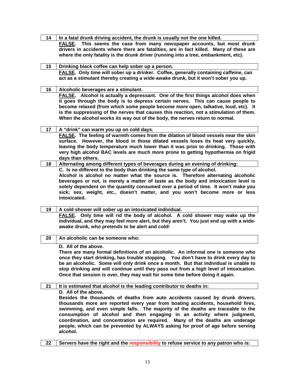- **14 In a fatal drunk driving accident, the drunk is usually not the one killed. FALSE. This seems the case from many newspaper accounts, but most drunk drivers in accidents where there are fatalities, are in fact killed. Many of these are where the only fatality is the drunk driver (running into a tree, embankment, etc).**
- **15 Drinking black coffee can help sober up a person. FALSE. Only time will sober up a drinker. Coffee, generally containing caffeine, can act as a stimulant thereby creating a wide-awake drunk, but it won't sober you up.**
- **16 Alcoholic beverages are a stimulant. FALSE. Alcohol is actually a depressant. One of the first things alcohol does when it goes through the body is to depress certain nerves. This can cause people to become relaxed (from which some people become more open, talkative, loud, etc). It is the suppressing of the nerves that causes this reaction, not a stimulation of them. When the alcohol works its way out of the body, the nerves return to normal.**
- **17 A "drink" can warm you up on cold days. FALSE. The feeling of warmth comes from the dilation of blood vessels near the skin surface. However, the blood in those dilated vessels loses its heat very quickly, leaving the body temperature much lower than it was prior to drinking. Those with very high alcohol BAC levels are much more prone to getting hypothermia on frigid days than others.**
- **18 Alternating among different types of beverages during an evening of drinking: C. Is no different to the body than drinking the same type of alcohol. Alcohol is alcohol no matter what the source is. Therefore alternating alcoholic beverages or not, is merely a matter of taste as the body and intoxication level is solely dependent on the quantity consumed over a period of time. It won't make you sick; sex, weight, etc., doesn't matter, and you won't become more or less intoxicated.**
- **19 A cold shower will sober up an intoxicated individual. FALSE. Only time will rid the body of alcohol. A cold shower may wake up the individual, and they may feel more alert, but they aren't. You just end up with a wideawake drunk, who pretends to be alert and cold!**
- **20 An alcoholic can be someone who: D. All of the above.**

**There are many formal definitions of an alcoholic. An informal one is someone who once they start drinking, has trouble stopping. You don't have to drink every day to be an alcoholic. Some will only drink once a month. But that individual is unable to stop drinking and will continue until they pass out from a high level of intoxication. Once that session is over, they may wait for some time before doing it again.** 

**21 It is estimated that alcohol is the leading contributor to deaths in:**

**D. All of the above.**

**Besides the thousands of deaths from auto accidents caused by drunk drivers, thousands more are reported every year from boating accidents, household fires, swimming, and even simple falls. The majority of the deaths are traceable to the consumption of alcohol and then engaging in an activity where judgment, coordination, and concentration are required. Many of the deaths are underage people, which can be prevented by ALWAYS asking for proof of age before serving alcohol.** 

**22 Servers have the right and the responsibility to refuse service to any patron who is:**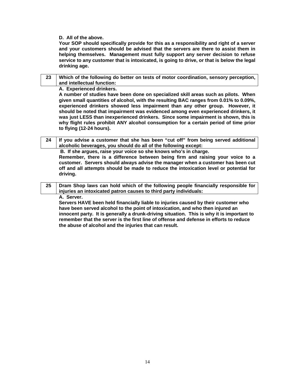**D. All of the above.**

**Your SOP should specifically provide for this as a responsibility and right of a server and your customers should be advised that the servers are there to assist them in helping themselves. Management must fully support any server decision to refuse service to any customer that is intoxicated, is going to drive, or that is below the legal drinking age.**

| 23 | Which of the following do better on tests of motor coordination, sensory perception,<br>and intellectual function:                                                                                                                                                                                                                                                                                                                                                                                                                                          |
|----|-------------------------------------------------------------------------------------------------------------------------------------------------------------------------------------------------------------------------------------------------------------------------------------------------------------------------------------------------------------------------------------------------------------------------------------------------------------------------------------------------------------------------------------------------------------|
|    | A. Experienced drinkers.                                                                                                                                                                                                                                                                                                                                                                                                                                                                                                                                    |
|    | A number of studies have been done on specialized skill areas such as pilots. When<br>given small quantities of alcohol, with the resulting BAC ranges from 0.01% to 0.09%,<br>experienced drinkers showed less impairment than any other group. However, it<br>should be noted that impairment was evidenced among even experienced drinkers, it<br>was just LESS than inexperienced drinkers. Since some impairment is shown, this is<br>why flight rules prohibit ANY alcohol consumption for a certain period of time prior<br>to flying (12-24 hours). |
| 24 | If you advise a customer that she has been "cut off" from being served additional<br>alcoholic beverages, you should do all of the following except:                                                                                                                                                                                                                                                                                                                                                                                                        |
|    | B. If she argues, raise your voice so she knows who's in charge.<br>Remember, there is a difference between being firm and raising your voice to a<br>customer. Servers should always advise the manager when a customer has been cut<br>off and all attempts should be made to reduce the intoxication level or potential for<br>driving.                                                                                                                                                                                                                  |
| 25 | Dram Shop laws can hold which of the following people financially responsible for<br>injuries an intoxicated patron causes to third party individuals:                                                                                                                                                                                                                                                                                                                                                                                                      |
|    | A. Server.                                                                                                                                                                                                                                                                                                                                                                                                                                                                                                                                                  |
|    | Servers HAVE been held financially liable to injuries caused by their customer who<br>have been served alcohol to the point of intoxication, and who then injured an<br>innocent party. It is generally a drunk-driving situation. This is why it is important to<br>remember that the server is the first line of offense and defense in efforts to reduce<br>the abuse of alcohol and the injuries that can result.                                                                                                                                       |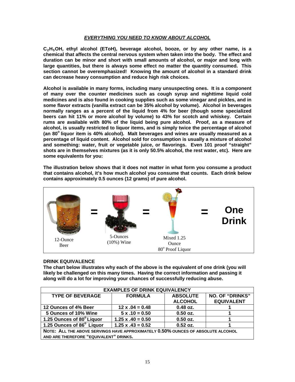#### *EVERYTHING YOU NEED TO KNOW ABOUT ALCOHOL*

**C2H5OH, ethyl alcohol (EToH), beverage alcohol, booze, or by any other name, is a chemical that affects the central nervous system when taken into the body. The effect and duration can be minor and short with small amounts of alcohol, or major and long with large quantities, but there is always some effect no matter the quantity consumed. This section cannot be overemphasized! Knowing the amount of alcohol in a standard drink can decrease heavy consumption and reduce high risk choices.**

**Alcohol is available in many forms, including many unsuspecting ones. It is a component of many over the counter medicines such as cough syrup and nighttime liquid cold medicines and is also found in cooking supplies such as some vinegar and pickles, and in some flavor extracts (vanilla extract can be 35% alcohol by volume). Alcohol in beverages normally ranges as a percent of the liquid from 4% for beer (though some specialized beers can hit 11% or more alcohol by volume) to 43% for scotch and whiskey. Certain rums are available with 80% of the liquid being pure alcohol. Proof, as a measure of alcohol, is usually restricted to liquor items, and is simply twice the percentage of alcohol (an 80o liquor item is 40% alcohol). Malt beverages and wines are usually measured as a percentage of liquid content. Alcohol sold for consumption is usually a mixture of alcohol and something: water, fruit or vegetable juice, or flavorings. Even 101 proof "straight" shots are in themselves mixtures (as it is only 50.5% alcohol, the rest water, etc). Here are some equivalents for you:**

**The illustration below shows that it does not matter in what form you consume a product that contains alcohol, it's how much alcohol you consume that counts. Each drink below contains approximately 0.5 ounces (12 grams) of pure alcohol.**



#### **DRINK EQUIVALENCE**

**The chart below illustrates why each of the above is the equivalent of one drink (you will likely be challenged on this many times. Having the correct information and passing it along will do a lot for improving your chances of successfully reducing abuse.**

| <b>EXAMPLES OF DRINK EQUIVALENCY</b>                                             |                          |                |                   |  |  |  |
|----------------------------------------------------------------------------------|--------------------------|----------------|-------------------|--|--|--|
| <b>TYPE OF BEVERAGE</b>                                                          | <b>NO. OF "DRINKS"</b>   |                |                   |  |  |  |
|                                                                                  |                          | <b>ALCOHOL</b> | <b>EQUIVALENT</b> |  |  |  |
| 12 Ounces of 4% Beer                                                             | $12 x .04 = 0.48$        | 0.48 oz.       |                   |  |  |  |
| 5 Ounces of 10% Wine                                                             | $5 x .10 = 0.50$         | $0.50$ oz.     |                   |  |  |  |
| 1.25 Ounces of 80° Liquor                                                        | $1.25 \times .40 = 0.50$ | $0.50$ oz.     |                   |  |  |  |
| 1.25 Ounces of 86° Liquor                                                        | $1.25 \times .43 = 0.52$ | $0.52$ oz.     |                   |  |  |  |
| NOTE: ALL THE ABOVE SERVINGS HAVE APPROXIMATELY 0.50% OUNCES OF ABSOLUTE ALCOHOL |                          |                |                   |  |  |  |
| AND ARE THEREFORE "EQUIVALENT" DRINKS.                                           |                          |                |                   |  |  |  |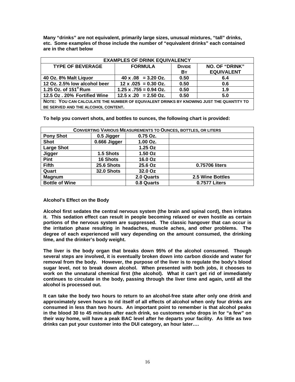**Many "drinks" are not equivalent, primarily large sizes, unusual mixtures, "tall" drinks, etc. Some examples of those include the number of "equivalent drinks" each contained are in the chart below**

| <b>EXAMPLES OF DRINK EQUIVALENCY</b>                                                    |                                |               |                       |  |  |  |
|-----------------------------------------------------------------------------------------|--------------------------------|---------------|-----------------------|--|--|--|
| <b>TYPE OF BEVERAGE</b>                                                                 | <b>FORMULA</b>                 | <b>DIVIDE</b> | <b>NO. OF "DRINK"</b> |  |  |  |
|                                                                                         |                                | BY            | <b>EQUIVALENT</b>     |  |  |  |
| 40 Oz. 8% Malt Liguor                                                                   | $40 \times .08 = 3.20$ Oz.     | 0.50          | 6.4                   |  |  |  |
| 12 Oz. 2.5% low alcohol beer                                                            | $12 \times 0.025 = 0.30$ Oz.   | 0.50          | 0.6                   |  |  |  |
| 1.25 Oz. of $151^\circ$ Rum                                                             | $1.25 \times 0.755 = 0.94$ Oz. | 0.50          | 1.9                   |  |  |  |
| 12.5 Oz. 20% Fortified Wine                                                             | $12.5 \times .20 = 2.50$ Oz.   | 0.50          | 5.0                   |  |  |  |
| NOTE: YOU CAN CALCULATE THE NUMBER OF EQUIVALENT DRINKS BY KNOWING JUST THE QUANTITY TO |                                |               |                       |  |  |  |
| BE SERVED AND THE ALCOHOL CONTENT.                                                      |                                |               |                       |  |  |  |

**To help you convert shots, and bottles to ounces, the following chart is provided:**

| <b>CONVERTING VARIOUS MEASUREMENTS TO OUNCES, BOTTLES, OR LITERS</b> |                   |            |                  |  |  |  |
|----------------------------------------------------------------------|-------------------|------------|------------------|--|--|--|
| <b>Pony Shot</b>                                                     | 0.5 Jigger        | 0.75 Oz.   |                  |  |  |  |
| <b>Shot</b>                                                          | 0.666 Jigger      | 1.00 Oz.   |                  |  |  |  |
| <b>Large Shot</b>                                                    |                   | 1.25 Oz    |                  |  |  |  |
| Jigger                                                               | 1.5 Shots         | 1.50 Oz    |                  |  |  |  |
| Pint                                                                 | 16 Shots          | 16.0 Oz    |                  |  |  |  |
| <b>Fifth</b>                                                         | 25.6 Shots        | 25.6 Oz    | 0.75706 liters   |  |  |  |
| Quart                                                                | <b>32.0 Shots</b> | 32.0 Oz    |                  |  |  |  |
| <b>Magnum</b>                                                        |                   | 2.0 Quarts | 2.5 Wine Bottles |  |  |  |
| <b>Bottle of Wine</b>                                                |                   | 0.8 Quarts | 0.7577 Liters    |  |  |  |

#### **Alcohol's Effect on the Body**

**Alcohol first sedates the central nervous system (the brain and spinal cord), then irritates it. This sedation effect can result in people becoming relaxed or even hostile as certain portions of the nervous system are suppressed. The classic hangover that can occur is the irritation phase resulting in headaches, muscle aches, and other problems. The degree of each experienced will vary depending on the amount consumed, the drinking time, and the drinker's body weight.** 

**The liver is the body organ that breaks down 95% of the alcohol consumed. Though several steps are involved, it is eventually broken down into carbon dioxide and water for removal from the body. However, the purpose of the liver is to regulate the body's blood sugar level, not to break down alcohol. When presented with both jobs, it chooses to work on the unnatural chemical first (the alcohol). What it can't get rid of immediately continues to circulate in the body, passing through the liver time and again, until all the alcohol is processed out.**

**It can take the body two hours to return to an alcohol-free state after only one drink and approximately seven hours to rid itself of all effects of alcohol when only four drinks are consumed in less than two hours. An important point to remember is that alcohol peaks in the blood 30 to 45 minutes after each drink, so customers who drops in for "a few" on their way home, will have a peak BAC level after he departs your facility. As little as two drinks can put your customer into the DUI category, an hour later….**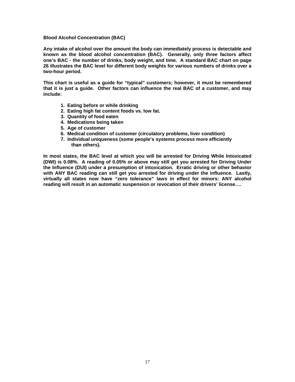#### **Blood Alcohol Concentration (BAC)**

**Any intake of alcohol over the amount the body can immediately process is detectable and known as the blood alcohol concentration (BAC). Generally, only three factors affect one's BAC - the number of drinks, body weight, and time. A standard BAC chart on page 26 illustrates the BAC level for different body weights for various numbers of drinks over a two-hour period.**

**This chart is useful as a guide for "typical" customers; however, it must be remembered that it is just a guide. Other factors can influence the real BAC of a customer, and may include:**

- **1. Eating before or while drinking**
- **2. Eating high fat content foods vs. low fat.**
- **3. Quantity of food eaten**
- **4. Medications being taken**
- **5. Age of customer**
- **6. Medical condition of customer (circulatory problems, liver condition)**
- **7. Individual uniqueness (some people's systems process more efficiently than others).**

**In most states, the BAC level at which you will be arrested for Driving While Intoxicated (DWI) is 0.08%. A reading of 0.05% or above may still get you arrested for Driving Under the Influence (DUI) under a presumption of intoxication. Erratic driving or other behavior with ANY BAC reading can still get you arrested for driving under the influence. Lastly, virtually all states now have "zero tolerance" laws in effect for minors: ANY alcohol reading will result in an automatic suspension or revocation of their drivers' license….**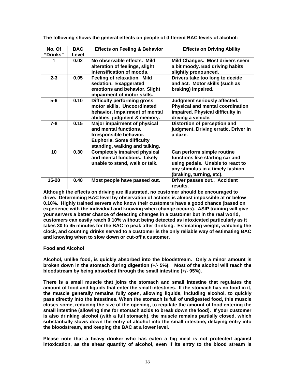**The following shows the general effects on people of different BAC levels of alcohol:**

| No. Of    | <b>BAC</b> | <b>Effects on Feeling &amp; Behavior</b>                                                                                                               | <b>Effects on Driving Ability</b>                                                                                                                                 |
|-----------|------------|--------------------------------------------------------------------------------------------------------------------------------------------------------|-------------------------------------------------------------------------------------------------------------------------------------------------------------------|
| "Drinks"  | Level      |                                                                                                                                                        |                                                                                                                                                                   |
| 1         | 0.02       | No observable effects. Mild<br>alteration of feelings, slight<br>intensification of moods.                                                             | Mild Changes. Most drivers seem<br>a bit moody. Bad driving habits<br>slightly pronounced.                                                                        |
| $2 - 3$   | 0.05       | Feeling of relaxation. Mild<br>sedation. Exaggerated<br>emotions and behavior. Slight<br>impairment of motor skills.                                   | Drivers take too long to decide<br>and act. Motor skills (such as<br>braking) impaired.                                                                           |
| $5-6$     | 0.10       | <b>Difficulty performing gross</b><br>motor skills. Uncoordinated<br>behavior. Impairment of mental<br>abilities, judgment & memory.                   | Judgment seriously affected.<br><b>Physical and mental coordination</b><br>impaired. Physical difficulty in<br>driving a vehicle.                                 |
| $7 - 8$   | 0.15       | Major impairment of physical<br>and mental functions.<br>Irresponsible behavior.<br><b>Euphoria. Some difficulty</b><br>standing, walking and talking. | Distortion of perception and<br>judgment. Driving erratic. Driver in<br>a daze.                                                                                   |
| 10        | 0.30       | <b>Completely impaired physical</b><br>and mental functions. Likely<br>unable to stand, walk or talk.                                                  | Can perform simple routine<br>functions like starting car and<br>using pedals. Unable to react to<br>any stimulus in a timely fashion<br>(braking, turning, etc). |
| $15 - 20$ | 0.40       | Most people have passed out.                                                                                                                           | Driver passes out Accident<br>results.                                                                                                                            |

**Although the effects on driving are illustrated, no customer should be encouraged to drive. Determining BAC level by observation of actions is almost impossible at or below 0.10%. Highly trained servers who know their customers have a good chance (based on experience with the individual and knowing when change occurs). ASIP training will give your servers a better chance of detecting changes in a customer but in the real world, customers can easily reach 0.10% without being detected as intoxicated particularly as it takes 30 to 45 minutes for the BAC to peak after drinking. Estimating weight, watching the clock, and counting drinks served to a customer is the only reliable way of estimating BAC and knowing when to slow down or cut-off a customer.**

#### **Food and Alcohol**

**Alcohol, unlike food, is quickly absorbed into the bloodstream. Only a minor amount is broken down in the stomach during digestion (+/- 5%). Most of the alcohol will reach the bloodstream by being absorbed through the small intestine (+/- 95%).** 

**There is a small muscle that joins the stomach and small intestine that regulates the amount of food and liquids that enter the small intestines. If the stomach has no food in it, the muscle generally remains fully open, allowing liquids, including alcohol, to quickly pass directly into the intestines. When the stomach is full of undigested food, this muscle closes some, reducing the size of the opening, to regulate the amount of food entering the small intestine (allowing time for stomach acids to break down the food). If your customer is also drinking alcohol (with a full stomach), the muscle remains partially closed, which substantially slows down the entry of alcohol into the small intestine, delaying entry into the bloodstream, and keeping the BAC at a lower level.**

**Please note that a heavy drinker who has eaten a big meal is not protected against intoxication, as the shear quantity of alcohol, even if its entry to the blood stream is**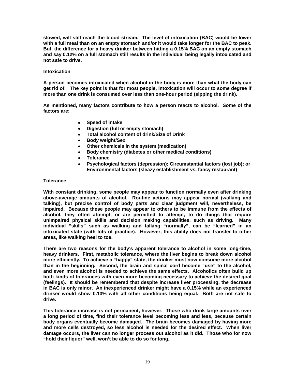**slowed, will still reach the blood stream. The level of intoxication (BAC) would be lower with a full meal than on an empty stomach and/or it would take longer for the BAC to peak. But, the difference for a heavy drinker between hitting a 0.15% BAC on an empty stomach and say 0.12% on a full stomach still results in the individual being legally intoxicated and not safe to drive.**

#### **Intoxication**

**A person becomes intoxicated when alcohol in the body is more than what the body can get rid of. The key point is that for most people, intoxication will occur to some degree if more than one drink is consumed over less than one-hour period (sipping the drink).**

**As mentioned, many factors contribute to how a person reacts to alcohol. Some of the factors are:**

- **Speed of intake**
- **Digestion (full or empty stomach)**
- **Total alcohol content of drink/Size of Drink**
- **Body weight/Sex**
- **Other chemicals in the system (medication)**
- **Body chemistry (diabetes or other medical conditions)**
- **Tolerance**
- **Psychological factors (depression); Circumstantial factors (lost job); or Environmental factors (sleazy establishment vs. fancy restaurant)**

#### **Tolerance**

**With constant drinking, some people may appear to function normally even after drinking above-average amounts of alcohol. Routine actions may appear normal (walking and talking), but precise control of body parts and clear judgment will, nevertheless, be impaired. Because these people may appear to others to be immune from the effects of alcohol, they often attempt, or are permitted to attempt, to do things that require unimpaired physical skills and decision making capabilities, such as driving. Many individual "skills" such as walking and talking "normally", can be "learned" in an intoxicated state (with lots of practice). However, this ability does not transfer to other areas, like walking heel to toe.**

**There are two reasons for the body's apparent tolerance to alcohol in some long-time, heavy drinkers. First, metabolic tolerance, where the liver begins to break down alcohol more efficiently. To achieve a "happy" state, the drinker must now consume more alcohol than in the beginning. Second, the brain and spinal cord become "use" to the alcohol, and even more alcohol is needed to achieve the same effects. Alcoholics often build up both kinds of tolerances with even more becoming necessary to achieve the desired goal (feelings). It should be remembered that despite increase liver processing, the decrease in BAC is only minor. An inexperienced drinker might have a 0.15% while an experienced drinker would show 0.13% with all other conditions being equal. Both are not safe to drive.** 

**This tolerance increase is not permanent, however. Those who drink large amounts over a long period of time, find their tolerance level becoming less and less, because certain body organs eventually become damaged. The brain becomes damaged by having more and more cells destroyed, so less alcohol is needed for the desired effect. When liver damage occurs, the liver can no longer process out alcohol as it did. Those who for now "hold their liquor" well, won't be able to do so for long.**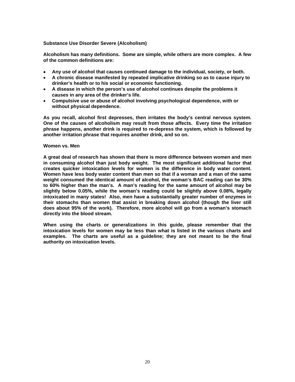#### **Substance Use Disorder Severe (Alcoholism)**

**Alcoholism has many definitions. Some are simple, while others are more complex. A few of the common definitions are:**

- **Any use of alcohol that causes continued damage to the individual, society, or both.**
- **A chronic disease manifested by repeated implicative drinking so as to cause injury to drinker's health or to his social or economic functioning.**
- **A disease in which the person's use of alcohol continues despite the problems it causes in any area of the drinker's life.**
- **Compulsive use or abuse of alcohol involving psychological dependence, with or without physical dependence.**

**As you recall, alcohol first depresses, then irritates the body's central nervous system. One of the causes of alcoholism may result from those affects. Every time the irritation phrase happens, another drink is required to re-depress the system, which is followed by another irritation phrase that requires another drink, and so on.**

#### **Women vs. Men**

**A great deal of research has shown that there is more difference between women and men in consuming alcohol than just body weight. The most significant additional factor that creates quicker intoxication levels for women is the difference in body water content. Women have less body water content than men so that if a woman and a man of the same weight consumed the identical amount of alcohol, the woman's BAC reading can be 30% to 60% higher than the man's. A man's reading for the same amount of alcohol may be slightly below 0.05%, while the woman's reading could be slightly above 0.08%, legally intoxicated in many states! Also, men have a substantially greater number of enzymes in their stomachs than women that assist in breaking down alcohol (though the liver still does about 95% of the work). Therefore, more alcohol will go from a woman's stomach directly into the blood stream.** 

**When using the charts or generalizations in this guide, please remember that the intoxication levels for women may be less than what is listed in the various charts and examples. The charts are useful as a guideline; they are not meant to be the final authority on intoxication levels.**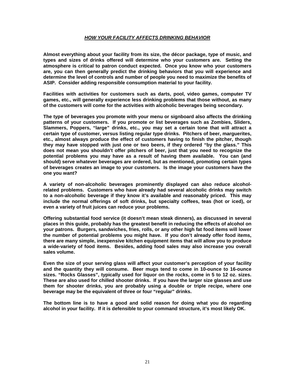#### *HOW YOUR FACILITY AFFECTS DRINKING BEHAVIOR*

**Almost everything about your facility from its size, the décor package, type of music, and types and sizes of drinks offered will determine who your customers are. Setting the atmosphere is critical to patron conduct expected. Once you know who your customers are, you can then generally predict the drinking behaviors that you will experience and determine the level of controls and number of people you need to maximize the benefits of ASIP. Consider adding responsible consumption material to your facility.**

**Facilities with activities for customers such as darts, pool, video games, computer TV games, etc., will generally experience less drinking problems that those without, as many of the customers will come for the activities with alcoholic beverages being secondary.**

**The type of beverages you promote with your menu or signboard also affects the drinking patterns of your customers. If you promote or list beverages such as Zombies, Sliders, Slammers, Poppers, "large" drinks, etc., you may set a certain tone that will attract a certain type of customer, versus listing regular type drinks. Pitchers of beer, marguerites, etc., almost always produce the effect of customers having to finish the pitcher, though they may have stopped with just one or two beers, if they ordered "by the glass." This does not mean you shouldn't offer pitchers of beer, just that you need to recognize the potential problems you may have as a result of having them available. You can (and should) serve whatever beverages are ordered, but as mentioned, promoting certain types of beverages creates an image to your customers. Is the image your customers have the one you want?**

**A variety of non-alcoholic beverages prominently displayed can also reduce alcoholrelated problems. Customers who have already had several alcoholic drinks may switch to a non-alcoholic beverage if they know it's available and reasonably priced. This may include the normal offerings of soft drinks, but specialty coffees, teas (hot or iced), or even a variety of fruit juices can reduce your problems.** 

**Offering substantial food service (it doesn't mean steak dinners), as discussed in several places in this guide, probably has the greatest benefit in reducing the effects of alcohol on your patrons. Burgers, sandwiches, fries, rolls, or any other high fat food items will lower the number of potential problems you might have. If you don't already offer food items, there are many simple, inexpensive kitchen equipment items that will allow you to produce a wide-variety of food items. Besides, adding food sales may also increase you overall sales volume.**

**Even the size of your serving glass will affect your customer's perception of your facility and the quantity they will consume. Beer mugs tend to come in 10-ounce to 16-ounce sizes. "Rocks Glasses", typically used for liquor on the rocks, come in 5 to 12 oz. sizes. These are also used for chilled shooter drinks. If you have the larger size glasses and use them for shooter drinks, you are probably using a double or triple recipe, where one beverage may be the equivalent of three or four "regular" drinks.** 

**The bottom line is to have a good and solid reason for doing what you do regarding alcohol in your facility. If it is defensible to your command structure, it's most likely OK.**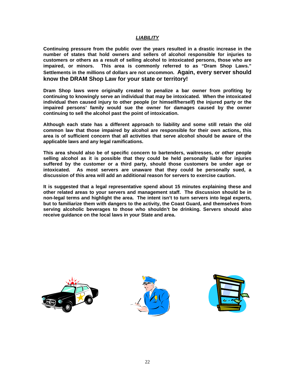#### *LIABILITY*

**Continuing pressure from the public over the years resulted in a drastic increase in the number of states that hold owners and sellers of alcohol responsible for injuries to customers or others as a result of selling alcohol to intoxicated persons, those who are impaired, or minors. This area is commonly referred to as "Dram Shop Laws." Settlements in the millions of dollars are not uncommon. Again, every server should know the DRAM Shop Law for your state or territory!**

**Dram Shop laws were originally created to penalize a bar owner from profiting by continuing to knowingly serve an individual that may be intoxicated. When the intoxicated individual then caused injury to other people (or himself/herself) the injured party or the impaired persons' family would sue the owner for damages caused by the owner continuing to sell the alcohol past the point of intoxication.**

**Although each state has a different approach to liability and some still retain the old common law that those impaired by alcohol are responsible for their own actions, this area is of sufficient concern that all activities that serve alcohol should be aware of the applicable laws and any legal ramifications.**

**This area should also be of specific concern to bartenders, waitresses, or other people selling alcohol as it is possible that they could be held personally liable for injuries suffered by the customer or a third party, should those customers be under age or intoxicated. As most servers are unaware that they could be personally sued, a discussion of this area will add an additional reason for servers to exercise caution.**

**It is suggested that a legal representative spend about 15 minutes explaining these and other related areas to your servers and management staff. The discussion should be in non-legal terms and highlight the area. The intent isn't to turn servers into legal experts, but to familiarize them with dangers to the activity, the Coast Guard, and themselves from serving alcoholic beverages to those who shouldn't be drinking. Servers should also receive guidance on the local laws in your State and area.**





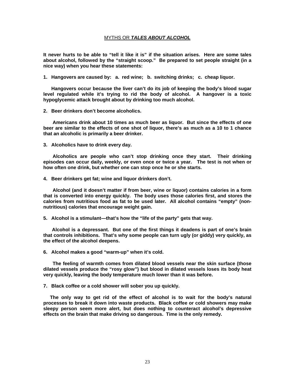#### MYTHS OR *TALES ABOUT ALCOHOL*

**It never hurts to be able to "tell it like it is" if the situation arises. Here are some tales about alcohol, followed by the "straight scoop." Be prepared to set people straight (in a nice way) when you hear these statements:**

**1. Hangovers are caused by: a. red wine; b. switching drinks; c. cheap liquor.** 

 **Hangovers occur because the liver can't do its job of keeping the body's blood sugar level regulated while it's trying to rid the body of alcohol. A hangover is a toxic hypoglycemic attack brought about by drinking too much alcohol.**

**2. Beer drinkers don't become alcoholics.**

 **Americans drink about 10 times as much beer as liquor. But since the effects of one beer are similar to the effects of one shot of liquor, there's as much as a 10 to 1 chance that an alcoholic is primarily a beer drinker.**

**3. Alcoholics have to drink every day.**

 **Alcoholics are people who can't stop drinking once they start. Their drinking episodes can occur daily, weekly, or even once or twice a year. The test is not when or how often one drink, but whether one can stop once he or she starts.**

**4. Beer drinkers get fat; wine and liquor drinkers don't.**

 **Alcohol (and it doesn't matter if from beer, wine or liquor) contains calories in a form that is converted into energy quickly. The body uses those calories first, and stores the calories from nutritious food as fat to be used later. All alcohol contains "empty" (nonnutritious) calories that encourage weight gain.**

**5. Alcohol is a stimulant—that's how the "life of the party" gets that way.**

**Alcohol is a depressant. But one of the first things it deadens is part of one's brain that controls inhibitions. That's why some people can turn ugly (or giddy) very quickly, as the effect of the alcohol deepens.**

**6. Alcohol makes a good "warm-up" when it's cold.**

 **The feeling of warmth comes from dilated blood vessels near the skin surface (those dilated vessels produce the "rosy glow") but blood in dilated vessels loses its body heat very quickly, leaving the body temperature much lower than it was before.**

**7. Black coffee or a cold shower will sober you up quickly.** 

 **The only way to get rid of the effect of alcohol is to wait for the body's natural processes to break it down into waste products. Black coffee or cold showers may make sleepy person seem more alert, but does nothing to counteract alcohol's depressive effects on the brain that make driving so dangerous. Time is the only remedy.**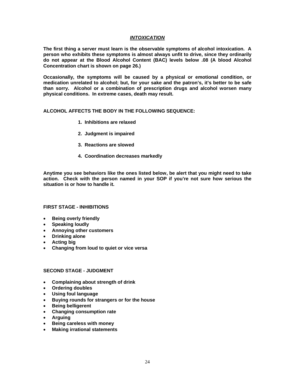#### *INTOXICATION*

**The first thing a server must learn is the observable symptoms of alcohol intoxication. A person who exhibits these symptoms is almost always unfit to drive, since they ordinarily do not appear at the Blood Alcohol Content (BAC) levels below .08 (A blood Alcohol Concentration chart is shown on page 26.)**

**Occasionally, the symptoms will be caused by a physical or emotional condition, or medication unrelated to alcohol; but, for your sake and the patron's, it's better to be safe than sorry. Alcohol or a combination of prescription drugs and alcohol worsen many physical conditions. In extreme cases, death may result.**

#### **ALCOHOL AFFECTS THE BODY IN THE FOLLOWING SEQUENCE:**

- **1. Inhibitions are relaxed**
- **2. Judgment is impaired**
- **3. Reactions are slowed**
- **4. Coordination decreases markedly**

**Anytime you see behaviors like the ones listed below, be alert that you might need to take action. Check with the person named in your SOP if you're not sure how serious the situation is or how to handle it.**

#### **FIRST STAGE - INHIBITIONS**

- **Being overly friendly**
- **Speaking loudly**
- **Annoying other customers**
- **Drinking alone**
- **Acting big**
- **Changing from loud to quiet or vice versa**

#### **SECOND STAGE - JUDGMENT**

- **Complaining about strength of drink**
- **Ordering doubles**
- **Using foul language**
- **Buying rounds for strangers or for the house**
- **Being belligerent**
- **Changing consumption rate**
- **Arguing**
- **Being careless with money**
- **Making irrational statements**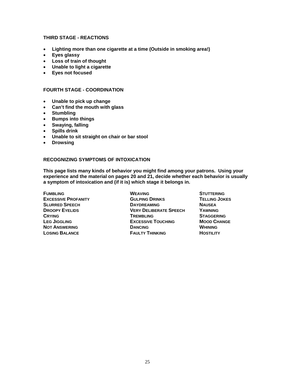#### **THIRD STAGE - REACTIONS**

- **Lighting more than one cigarette at a time (Outside in smoking area!)**
- **Eyes glassy**
- **Loss of train of thought**
- **Unable to light a cigarette**
- **Eyes not focused**

#### **FOURTH STAGE - COORDINATION**

- **Unable to pick up change**
- **Can't find the mouth with glass**
- **Stumbling**
- **Bumps into things**
- **Swaying, falling**
- **Spills drink**
- **Unable to sit straight on chair or bar stool**
- **Drowsing**

#### **RECOGNIZING SYMPTOMS OF INTOXICATION**

**This page lists many kinds of behavior you might find among your patrons. Using your experience and the material on pages 20 and 21, decide whether each behavior is usually a symptom of intoxication and (if it is) which stage it belongs in.**

**FUMBLING WEAVING STUTTERING** EXCESSIVE PROFANITY<br> **SLURRED SPEECH**SLURRED SPEECH

BOAYDREAMING

BOAYDREAMING

DAYDREAMING

BOAYDREAMING

BOAYDREAMING

SLURRED SPEECH **SLURRED SPEECH SLURRED SPEECH SLURRED SPEECH SLURRED SPEECH DAYDREAMING NAUSEA DROOPY EYELIDS VERY DELIBERATE SPEECH**<br> **CRYING CRYING CRYING TREMBLING STAGGERING LEG ANGELING EXCESSIVE TOUCHING<br>
DANCING BANGER BANGER WHINING NOT ANSWERING DANCING WHINING FAULTY THINKING**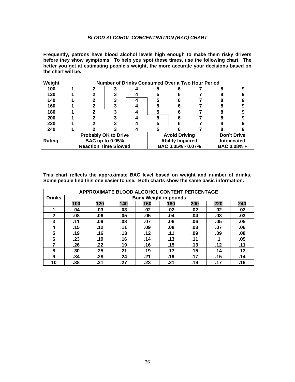#### *BLOOD ALCOHOL CONCENTRATION (BAC) CHART*

**Frequently, patrons have blood alcohol levels high enough to make them risky drivers before they show symptoms. To help you spot these times, use the following chart. The better you get at estimating people's weight, the more accurate your decisions based on the chart will be.**

| Weight | <b>Number of Drinks Consumed Over a Two Hour Period</b> |   |  |  |                         |                      |  |                    |             |
|--------|---------------------------------------------------------|---|--|--|-------------------------|----------------------|--|--------------------|-------------|
| 100    |                                                         | ≏ |  |  |                         |                      |  |                    |             |
| 120    |                                                         |   |  |  |                         |                      |  |                    |             |
| 140    |                                                         |   |  |  |                         | 6                    |  |                    |             |
| 160    |                                                         |   |  |  |                         | 6                    |  |                    |             |
| 180    |                                                         |   |  |  |                         |                      |  |                    |             |
| 200    |                                                         |   |  |  |                         |                      |  |                    |             |
| 220    |                                                         |   |  |  |                         | 6                    |  |                    |             |
| 240    |                                                         |   |  |  |                         |                      |  |                    |             |
|        | <b>Probably OK to Drive</b>                             |   |  |  |                         | <b>Avoid Driving</b> |  |                    | Don't Drive |
| Rating | <b>BAC up to 0.05%</b>                                  |   |  |  | <b>Ability Impaired</b> |                      |  | <b>Intoxicated</b> |             |
|        | <b>Reaction Time Slowed</b>                             |   |  |  |                         | BAC 0.05% - 0.07%    |  |                    | BAC 0.08% + |

**This chart reflects the approximate BAC level based on weight and number of drinks. Some people find this one easier to use. Both charts show the same basic information.**

| APPROXIMATE BLOOD ALCOHOL CONTENT PERCENTAGE |                              |     |     |     |     |     |     |     |
|----------------------------------------------|------------------------------|-----|-----|-----|-----|-----|-----|-----|
| <b>Drinks</b>                                | <b>Body Weight in pounds</b> |     |     |     |     |     |     |     |
|                                              | 100                          | 120 | 140 | 160 | 180 | 200 | 220 | 240 |
|                                              | .04                          | .03 | .03 | .02 | .02 | .02 | .02 | .02 |
| $\overline{2}$                               | .08                          | .06 | .05 | .05 | .04 | .04 | .03 | .03 |
| 3                                            | .11                          | .09 | .08 | .07 | .06 | .06 | .05 | .05 |
| 4                                            | .15                          | .12 | .11 | .09 | .08 | .08 | .07 | .06 |
| 5                                            | .19                          | .16 | .13 | .12 | .11 | .09 | .09 | .08 |
| 6                                            | .23                          | .19 | .16 | .14 | .13 | .11 | .1  | .09 |
| 7                                            | .26                          | .22 | .19 | .16 | .15 | .13 | .12 | .11 |
| 8                                            | .30                          | .25 | .21 | .19 | .17 | .15 | .14 | .13 |
| 9                                            | .34                          | .28 | .24 | .21 | .19 | .17 | .15 | .14 |
| 10                                           | .38                          | .31 | .27 | .23 | .21 | .19 | .17 | .16 |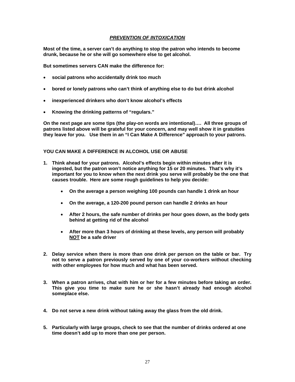#### *PREVENTION OF INTOXICATION*

**Most of the time, a server can't do anything to stop the patron who intends to become drunk, because he or she will go somewhere else to get alcohol.**

**But sometimes servers CAN make the difference for:**

- **social patrons who accidentally drink too much**
- **bored or lonely patrons who can't think of anything else to do but drink alcohol**
- **inexperienced drinkers who don't know alcohol's effects**
- **Knowing the drinking patterns of "regulars."**

**On the next page are some tips (the play-on words are intentional)…. All three groups of patrons listed above will be grateful for your concern, and may well show it in gratuities they leave for you. Use them in an "I Can Make A Difference" approach to your patrons.**

#### **YOU CAN MAKE A DIFFERENCE IN ALCOHOL USE OR ABUSE**

- **1. Think ahead for your patrons. Alcohol's effects begin within minutes after it is ingested, but the patron won't notice anything for 15 or 20 minutes. That's why it's important for you to know when the next drink you serve will probably be the one that causes trouble. Here are some rough guidelines to help you decide:**
	- **On the average a person weighing 100 pounds can handle 1 drink an hour**
	- **On the average, a 120-200 pound person can handle 2 drinks an hour**
	- **After 2 hours, the safe number of drinks per hour goes down, as the body gets behind at getting rid of the alcohol**
	- **After more than 3 hours of drinking at these levels, any person will probably NOT be a safe driver**
- **2. Delay service when there is more than one drink per person on the table or bar. Try not to serve a patron previously served by one of your co-workers without checking with other employees for how much and what has been served.**
- **3. When a patron arrives, chat with him or her for a few minutes before taking an order. This give you time to make sure he or she hasn't already had enough alcohol someplace else.**
- **4. Do not serve a new drink without taking away the glass from the old drink.**
- **5. Particularly with large groups, check to see that the number of drinks ordered at one time doesn't add up to more than one per person.**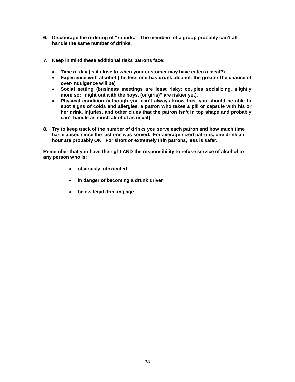- **6. Discourage the ordering of "rounds." The members of a group probably can't all handle the same number of drinks.**
- **7. Keep in mind these additional risks patrons face:**
	- **Time of day (is it close to when your customer may have eaten a meal?)**
	- **Experience with alcohol (the less one has drunk alcohol, the greater the chance of over-indulgence will be)**
	- **Social setting (business meetings are least risky; couples socializing, slightly more so; "night out with the boys, (or girls)" are riskier yet).**
	- **Physical condition (although you can't always know this, you should be able to spot signs of colds and allergies, a patron who takes a pill or capsule with his or her drink, injuries, and other clues that the patron isn't in top shape and probably can't handle as much alcohol as usual)**
- **8. Try to keep track of the number of drinks you serve each patron and how much time has elapsed since the last one was served. For average-sized patrons, one drink an hour are probably OK. For short or extremely thin patrons, less is safer.**

**Remember that you have the right AND the responsibility to refuse service of alcohol to any person who is:**

- **obviously intoxicated**
- **in danger of becoming a drunk driver**
- **below legal drinking age**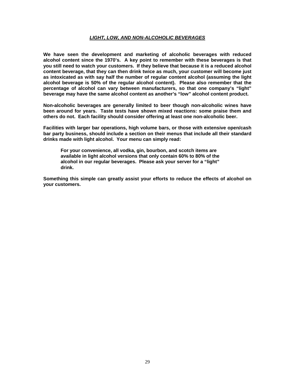#### *LIGHT, LOW, AND NON-ALCOHOLIC BEVERAGES*

**We have seen the development and marketing of alcoholic beverages with reduced alcohol content since the 1970's. A key point to remember with these beverages is that you still need to watch your customers. If they believe that because it is a reduced alcohol content beverage, that they can then drink twice as much, your customer will become just as intoxicated as with say half the number of regular content alcohol (assuming the light alcohol beverage is 50% of the regular alcohol content). Please also remember that the percentage of alcohol can vary between manufacturers, so that one company's "light" beverage may have the same alcohol content as another's "low" alcohol content product.**

**Non-alcoholic beverages are generally limited to beer though non-alcoholic wines have been around for years. Taste tests have shown mixed reactions: some praise them and others do not. Each facility should consider offering at least one non-alcoholic beer.**

**Facilities with larger bar operations, high volume bars, or those with extensive open/cash bar party business, should include a section on their menus that include all their standard drinks made with light alcohol. Your menu can simply read:**

**For your convenience, all vodka, gin, bourbon, and scotch items are available in light alcohol versions that only contain 60% to 80% of the alcohol in our regular beverages. Please ask your server for a "light" drink.**

**Something this simple can greatly assist your efforts to reduce the effects of alcohol on your customers.**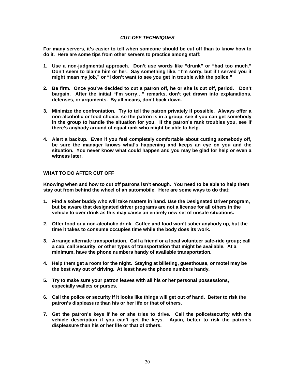#### *CUT-OFF TECHNIQUES*

**For many servers, it's easier to tell when someone should be cut off than to know how to do it. Here are some tips from other servers to practice among staff:**

- **1. Use a non-judgmental approach. Don't use words like "drunk" or "had too much." Don't seem to blame him or her. Say something like, "I'm sorry, but if I served you it might mean my job," or "I don't want to see you get in trouble with the police."**
- **2. Be firm. Once you've decided to cut a patron off, he or she is cut off, period. Don't bargain. After the initial "I'm sorry…" remarks, don't get drawn into explanations, defenses, or arguments. By all means, don't back down.**
- **3. Minimize the confrontation. Try to tell the patron privately if possible. Always offer a non-alcoholic or food choice, so the patron is in a group, see if you can get somebody in the group to handle the situation for you. If the patron's rank troubles you, see if there's anybody around of equal rank who might be able to help.**
- **4. Alert a backup. Even if you feel completely comfortable about cutting somebody off, be sure the manager knows what's happening and keeps an eye on you and the situation. You never know what could happen and you may be glad for help or even a witness later.**

#### **WHAT TO DO AFTER CUT OFF**

**Knowing when and how to cut off patrons isn't enough. You need to be able to help them stay out from behind the wheel of an automobile. Here are some ways to do that:**

- **1. Find a sober buddy who will take matters in hand. Use the Designated Driver program, but be aware that designated driver programs are not a license for all others in the vehicle to over drink as this may cause an entirely new set of unsafe situations.**
- **2. Offer food or a non-alcoholic drink. Coffee and food won't sober anybody up, but the time it takes to consume occupies time while the body does its work.**
- **3. Arrange alternate transportation. Call a friend or a local volunteer safe-ride group; call a cab, call Security, or other types of transportation that might be available. At a minimum, have the phone numbers handy of available transportation.**
- **4. Help them get a room for the night. Staying at billeting, guesthouse, or motel may be the best way out of driving. At least have the phone numbers handy.**
- **5. Try to make sure your patron leaves with all his or her personal possessions, especially wallets or purses.**
- **6. Call the police or security if it looks like things will get out of hand. Better to risk the patron's displeasure than his or her life or that of others.**
- **7. Get the patron's keys if he or she tries to drive. Call the police/security with the vehicle description if you can't get the keys. Again, better to risk the patron's displeasure than his or her life or that of others.**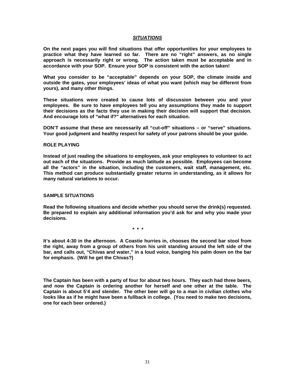#### *SITUATIONS*

**On the next pages you will find situations that offer opportunities for your employees to practice what they have learned so far. There are no "right" answers, as no single approach is necessarily right or wrong. The action taken must be acceptable and in accordance with your SOP. Ensure your SOP is consistent with the action taken!**

**What you consider to be "acceptable" depends on your SOP, the climate inside and outside the gates, your employees' ideas of what you want (which may be different from yours), and many other things.**

**These situations were created to cause lots of discussion between you and your employees. Be sure to have employees tell you any assumptions they made to support their decisions as the facts they use in making their decision will support that decision. And encourage lots of "what if?" alternatives for each situation.**

**DON'T assume that these are necessarily all "cut-off" situations – or "serve" situations. Your good judgment and healthy respect for safety of your patrons should be your guide.**

#### **ROLE PLAYING**

**Instead of just reading the situations to employees, ask your employees to volunteer to act out each of the situations. Provide as much latitude as possible. Employees can become all the "actors" in the situation, including the customers, wait staff, management, etc. This method can produce substantially greater returns in understanding, as it allows for many natural variations to occur.**

#### **SAMPLE SITUATIONS**

**Read the following situations and decide whether you should serve the drink(s) requested. Be prepared to explain any additional information you'd ask for and why you made your decisions.**

 **\* \* \***

**It's about 4:30 in the afternoon. A Coastie hurries in, chooses the second bar stool from the right, away from a group of others from his unit standing around the left side of the bar, and calls out, "Chivas and water," in a loud voice, banging his palm down on the bar for emphasis. (Will he get the Chivas?)**

**The Captain has been with a party of four for about two hours. They each had three beers, and now the Captain is ordering another for herself and one other at the table. The Captain is about 5'4 and slender. The other beer will go to a man in civilian clothes who looks like as if he might have been a fullback in college. (You need to make two decisions, one for each beer ordered.)**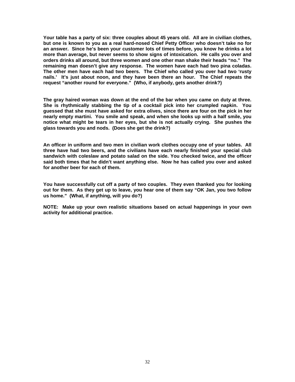**Your table has a party of six: three couples about 45 years old. All are in civilian clothes, but one is known to you as a real hard-nosed Chief Petty Officer who doesn't take no for an answer. Since he's been your customer lots of times before, you know he drinks a lot more than average, but never seems to show signs of intoxication. He calls you over and orders drinks all around, but three women and one other man shake their heads "no." The remaining man doesn't give any response. The women have each had two pina coladas. The other men have each had two beers. The Chief who called you over had two 'rusty nails.' It's just about noon, and they have been there an hour. The Chief repeats the request "another round for everyone." (Who, if anybody, gets another drink?)**

**The gray haired woman was down at the end of the bar when you came on duty at three. She is rhythmically stabbing the tip of a cocktail pick into her crumpled napkin. You guessed that she must have asked for extra olives, since there are four on the pick in her nearly empty martini. You smile and speak, and when she looks up with a half smile, you notice what might be tears in her eyes, but she is not actually crying. She pushes the glass towards you and nods. (Does she get the drink?)**

**An officer in uniform and two men in civilian work clothes occupy one of your tables. All three have had two beers, and the civilians have each nearly finished your special club sandwich with coleslaw and potato salad on the side. You checked twice, and the officer said both times that he didn't want anything else. Now he has called you over and asked for another beer for each of them.**

**You have successfully cut off a party of two couples. They even thanked you for looking out for them. As they get up to leave, you hear one of them say "OK Jan, you two follow us home." (What, if anything, will you do?)**

**NOTE: Make up your own realistic situations based on actual happenings in your own activity for additional practice.**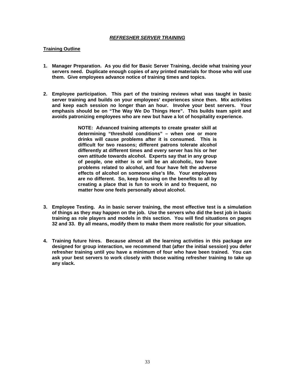#### *REFRESHER SERVER TRAINING*

#### **Training Outline**

- **1. Manager Preparation. As you did for Basic Server Training, decide what training your servers need. Duplicate enough copies of any printed materials for those who will use them. Give employees advance notice of training times and topics.**
- **2. Employee participation. This part of the training reviews what was taught in basic server training and builds on your employees' experiences since then. Mix activities and keep each session no longer than an hour. Involve your best servers. Your emphasis should be on "The Way We Do Things Here". This builds team spirit and avoids patronizing employees who are new but have a lot of hospitality experience.**

**NOTE: Advanced training attempts to create greater skill at determining "threshold conditions" – when one or more drinks will cause problems after it is consumed. This is difficult for two reasons; different patrons tolerate alcohol differently at different times and every server has his or her own attitude towards alcohol. Experts say that in any group of people, one either is or will be an alcoholic, two have problems related to alcohol, and four have felt the adverse effects of alcohol on someone else's life. Your employees are no different. So, keep focusing on the benefits to all by creating a place that is fun to work in and to frequent, no matter how one feels personally about alcohol.**

- **3. Employee Testing. As in basic server training, the most effective test is a simulation of things as they may happen on the job. Use the servers who did the best job in basic training as role players and models in this section. You will find situations on pages 32 and 33. By all means, modify them to make them more realistic for your situation.**
- **4. Training future hires. Because almost all the learning activities in this package are designed for group interaction, we recommend that (after the initial session) you defer refresher training until you have a minimum of four who have been trained. You can ask your best servers to work closely with those waiting refresher training to take up any slack.**